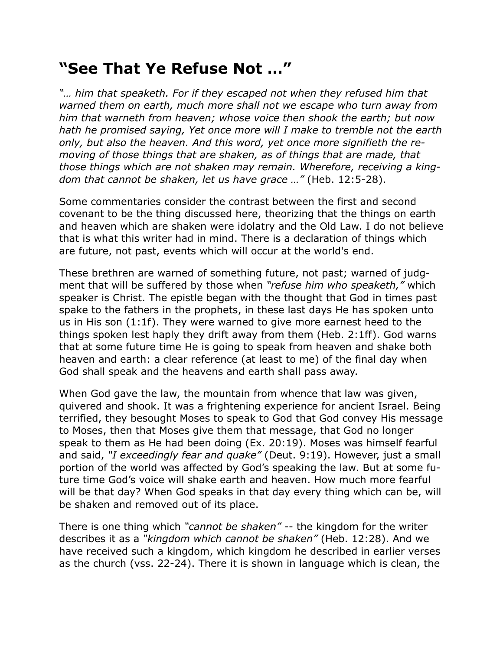## **"See That Ye Refuse Not …"**

*"… him that speaketh. For if they escaped not when they refused him that warned them on earth, much more shall not we escape who turn away from him that warneth from heaven; whose voice then shook the earth; but now hath he promised saying, Yet once more will I make to tremble not the earth only, but also the heaven. And this word, yet once more signifieth the removing of those things that are shaken, as of things that are made, that those things which are not shaken may remain. Wherefore, receiving a kingdom that cannot be shaken, let us have grace …"* (Heb. 12:5-28).

Some commentaries consider the contrast between the first and second covenant to be the thing discussed here, theorizing that the things on earth and heaven which are shaken were idolatry and the Old Law. I do not believe that is what this writer had in mind. There is a declaration of things which are future, not past, events which will occur at the world's end.

These brethren are warned of something future, not past; warned of judgment that will be suffered by those when *"refuse him who speaketh,"* which speaker is Christ. The epistle began with the thought that God in times past spake to the fathers in the prophets, in these last days He has spoken unto us in His son (1:1f). They were warned to give more earnest heed to the things spoken lest haply they drift away from them (Heb. 2:1ff). God warns that at some future time He is going to speak from heaven and shake both heaven and earth: a clear reference (at least to me) of the final day when God shall speak and the heavens and earth shall pass away.

When God gave the law, the mountain from whence that law was given, quivered and shook. It was a frightening experience for ancient Israel. Being terrified, they besought Moses to speak to God that God convey His message to Moses, then that Moses give them that message, that God no longer speak to them as He had been doing (Ex. 20:19). Moses was himself fearful and said, *"I exceedingly fear and quake"* (Deut. 9:19). However, just a small portion of the world was affected by God's speaking the law. But at some future time God's voice will shake earth and heaven. How much more fearful will be that day? When God speaks in that day every thing which can be, will be shaken and removed out of its place.

There is one thing which *"cannot be shaken"* -- the kingdom for the writer describes it as a *"kingdom which cannot be shaken"* (Heb. 12:28). And we have received such a kingdom, which kingdom he described in earlier verses as the church (vss. 22-24). There it is shown in language which is clean, the